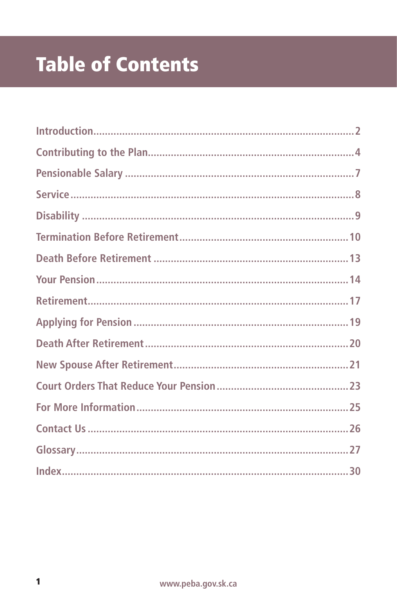# **Table of Contents**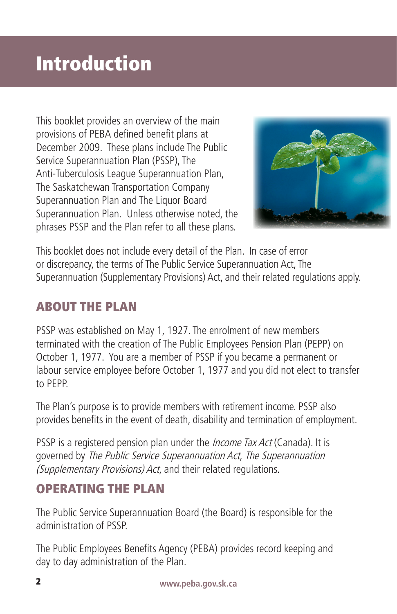## Introduction

This booklet provides an overview of the main provisions of PEBA defined benefit plans at December 2009. These plans include The Public Service Superannuation Plan (PSSP), The Anti-Tuberculosis League Superannuation Plan, The Saskatchewan Transportation Company Superannuation Plan and The Liquor Board Superannuation Plan. Unless otherwise noted, the phrases PSSP and the Plan refer to all these plans.



This booklet does not include every detail of the Plan. In case of error or discrepancy, the terms of The Public Service Superannuation Act, The Superannuation (Supplementary Provisions) Act, and their related regulations apply.

## ABOUT THE PLAN

PSSP was established on May 1, 1927. The enrolment of new members terminated with the creation of The Public Employees Pension Plan (PEPP) on October 1, 1977. You are a member of PSSP if you became a permanent or labour service employee before October 1, 1977 and you did not elect to transfer to PEPP.

The Plan's purpose is to provide members with retirement income. PSSP also provides benefits in the event of death, disability and termination of employment.

PSSP is a registered pension plan under the *Income Tax Act* (Canada). It is governed by The Public Service Superannuation Act, The Superannuation (Supplementary Provisions) Act, and their related regulations.

### OPERATING THE PLAN

The Public Service Superannuation Board (the Board) is responsible for the administration of PSSP.

The Public Employees Benefits Agency (PEBA) provides record keeping and day to day administration of the Plan.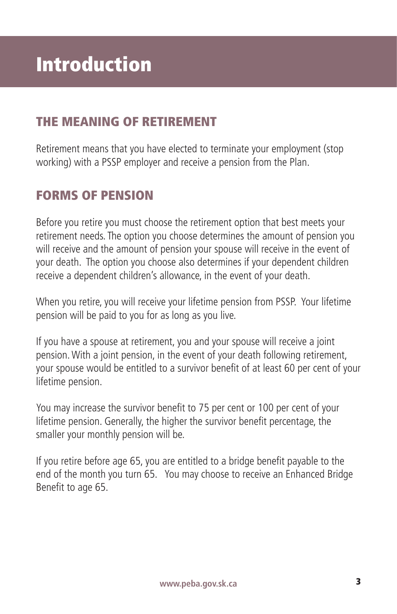### THE MEANING OF RETIREMENT

Retirement means that you have elected to terminate your employment (stop working) with a PSSP employer and receive a pension from the Plan.

## FORMS OF PENSION

Before you retire you must choose the retirement option that best meets your retirement needs. The option you choose determines the amount of pension you will receive and the amount of pension your spouse will receive in the event of your death. The option you choose also determines if your dependent children receive a dependent children's allowance, in the event of your death.

When you retire, you will receive your lifetime pension from PSSP. Your lifetime pension will be paid to you for as long as you live.

If you have a spouse at retirement, you and your spouse will receive a joint pension. With a joint pension, in the event of your death following retirement, your spouse would be entitled to a survivor benefit of at least 60 per cent of your lifetime pension.

You may increase the survivor benefit to 75 per cent or 100 per cent of your lifetime pension. Generally, the higher the survivor benefit percentage, the smaller your monthly pension will be.

If you retire before age 65, you are entitled to a bridge benefit payable to the end of the month you turn 65. You may choose to receive an Enhanced Bridge Benefit to age 65.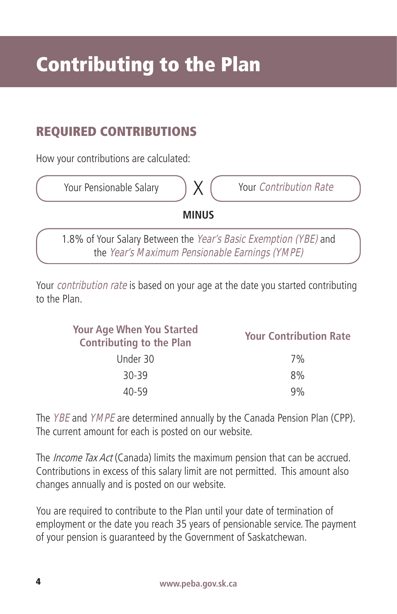## REQUIRED CONTRIBUTIONS

How your contributions are calculated:



the Year's Maximum Pensionable Earnings (YMPE)

Your *contribution rate* is based on your age at the date you started contributing to the Plan.

| <b>Your Contribution Rate</b> |
|-------------------------------|
| 7%                            |
| 8%                            |
| 9%                            |
|                               |

The *YBE* and *YMPE* are determined annually by the Canada Pension Plan (CPP). The current amount for each is posted on our website.

The *Income Tax Act* (Canada) limits the maximum pension that can be accrued. Contributions in excess of this salary limit are not permitted. This amount also changes annually and is posted on our website.

You are required to contribute to the Plan until your date of termination of employment or the date you reach 35 years of pensionable service. The payment of your pension is guaranteed by the Government of Saskatchewan.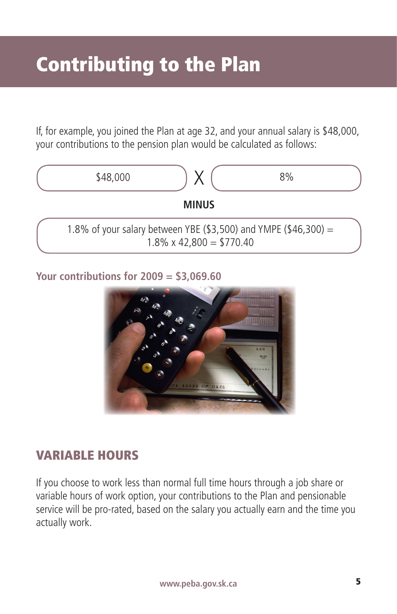If, for example, you joined the Plan at age 32, and your annual salary is \$48,000, your contributions to the pension plan would be calculated as follows:



**Your contributions for 2009 = \$3,069.60**



#### VARIABLE HOURS

If you choose to work less than normal full time hours through a job share or variable hours of work option, your contributions to the Plan and pensionable service will be pro-rated, based on the salary you actually earn and the time you actually work.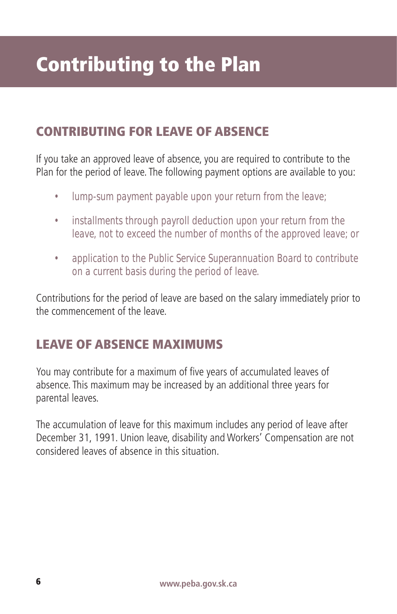## Contributing to the Plan

## CONTRIBUTING FOR LEAVE OF ABSENCE

If you take an approved leave of absence, you are required to contribute to the Plan for the period of leave. The following payment options are available to you:

- lump-sum payment payable upon your return from the leave;
- installments through payroll deduction upon your return from the leave, not to exceed the number of months of the approved leave; or
- application to the Public Service Superannuation Board to contribute on a current basis during the period of leave.

Contributions for the period of leave are based on the salary immediately prior to the commencement of the leave.

## LEAVE OF ABSENCE MAXIMUMS

You may contribute for a maximum of five years of accumulated leaves of absence. This maximum may be increased by an additional three years for parental leaves.

The accumulation of leave for this maximum includes any period of leave after December 31, 1991. Union leave, disability and Workers' Compensation are not considered leaves of absence in this situation.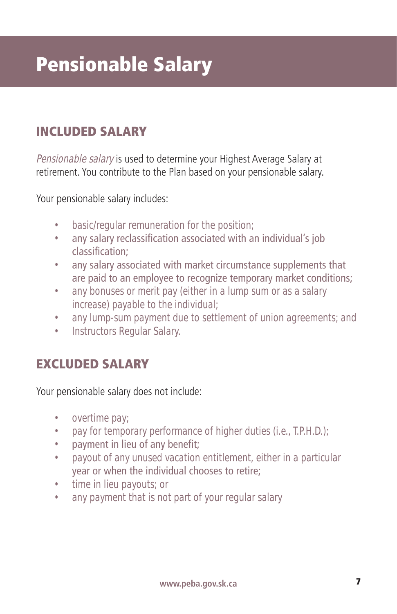# Pensionable Salary

## INCLUDED SALARY

Pensionable salary is used to determine your Highest Average Salary at retirement. You contribute to the Plan based on your pensionable salary.

Your pensionable salary includes:

- basic/regular remuneration for the position;
- any salary reclassification associated with an individual's job classification;
- any salary associated with market circumstance supplements that are paid to an employee to recognize temporary market conditions;
- any bonuses or merit pay (either in a lump sum or as a salary increase) payable to the individual;
- any lump-sum payment due to settlement of union agreements; and
- Instructors Regular Salary.

#### EXCLUDED SALARY

Your pensionable salary does not include:

- overtime pay;
- pay for temporary performance of higher duties (i.e., T.P.H.D.);
- payment in lieu of any benefit;
- payout of any unused vacation entitlement, either in a particular year or when the individual chooses to retire;
- time in lieu payouts; or
- any payment that is not part of your regular salary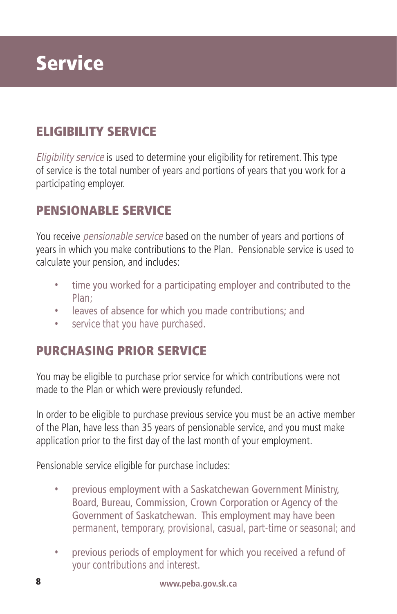## **Service**

## ELIGIBILITY SERVICE

Eligibility service is used to determine your eligibility for retirement. This type of service is the total number of years and portions of years that you work for a participating employer.

#### PENSIONABLE SERVICE

You receive *pensionable service* based on the number of years and portions of years in which you make contributions to the Plan. Pensionable service is used to calculate your pension, and includes:

- time you worked for a participating employer and contributed to the Plan;
- leaves of absence for which you made contributions; and
- service that you have purchased.

#### PURCHASING PRIOR SERVICE

You may be eligible to purchase prior service for which contributions were not made to the Plan or which were previously refunded.

In order to be eligible to purchase previous service you must be an active member of the Plan, have less than 35 years of pensionable service, and you must make application prior to the first day of the last month of your employment.

Pensionable service eligible for purchase includes:

- previous employment with a Saskatchewan Government Ministry, Board, Bureau, Commission, Crown Corporation or Agency of the Government of Saskatchewan. This employment may have been permanent, temporary, provisional, casual, part-time or seasonal; and
- previous periods of employment for which you received a refund of your contributions and interest.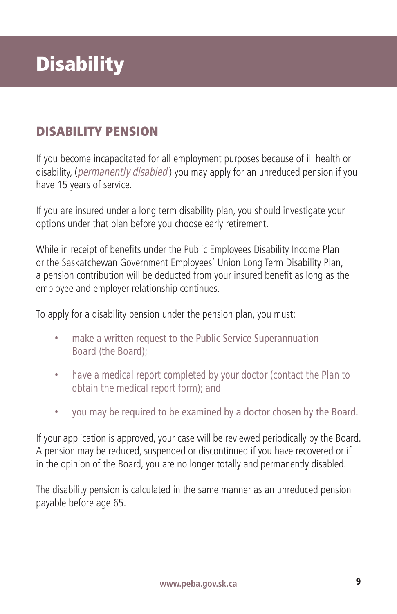# **Disability**

## DISABILITY PENSION

If you become incapacitated for all employment purposes because of ill health or disability, (permanently disabled) you may apply for an unreduced pension if you have 15 years of service.

If you are insured under a long term disability plan, you should investigate your options under that plan before you choose early retirement.

While in receipt of benefits under the Public Employees Disability Income Plan or the Saskatchewan Government Employees' Union Long Term Disability Plan, a pension contribution will be deducted from your insured benefit as long as the employee and employer relationship continues.

To apply for a disability pension under the pension plan, you must:

- make a written request to the Public Service Superannuation Board (the Board);
- have a medical report completed by your doctor (contact the Plan to obtain the medical report form); and
- you may be required to be examined by a doctor chosen by the Board.

If your application is approved, your case will be reviewed periodically by the Board. A pension may be reduced, suspended or discontinued if you have recovered or if in the opinion of the Board, you are no longer totally and permanently disabled.

The disability pension is calculated in the same manner as an unreduced pension payable before age 65.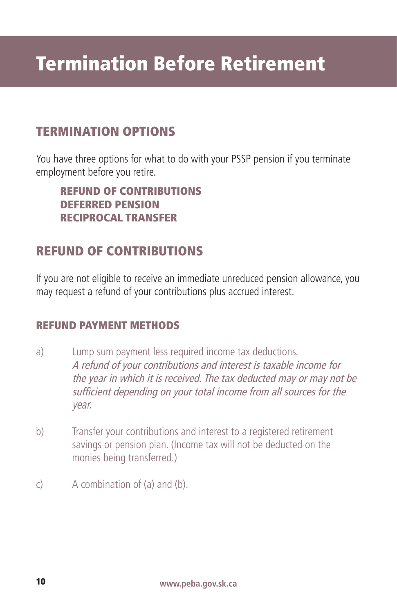## TERMINATION OPTIONS

You have three options for what to do with your PSSP pension if you terminate employment before you retire.

REFUND OF CONTRIBUTIONS DEFERRED PENSION RECIPROCAL TRANSFER

## REFUND OF CONTRIBUTIONS

If you are not eligible to receive an immediate unreduced pension allowance, you may request a refund of your contributions plus accrued interest.

#### REFUND PAYMENT METHODS

- a) Lump sum payment less required income tax deductions. A refund of your contributions and interest is taxable income for the year in which it is received. The tax deducted may or may not be sufficient depending on your total income from all sources for the year.
- b) Transfer your contributions and interest to a registered retirement savings or pension plan. (Income tax will not be deducted on the monies being transferred.)
- c) A combination of (a) and (b).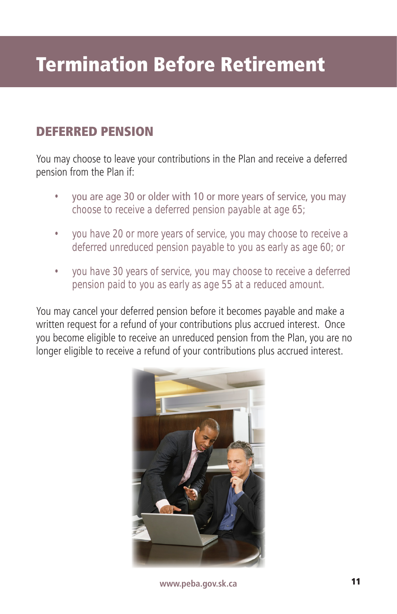## DEFERRED PENSION

You may choose to leave your contributions in the Plan and receive a deferred pension from the Plan if:

- you are age 30 or older with 10 or more years of service, you may choose to receive a deferred pension payable at age 65;
- you have 20 or more years of service, you may choose to receive a deferred unreduced pension payable to you as early as age 60; or
- you have 30 years of service, you may choose to receive a deferred pension paid to you as early as age 55 at a reduced amount.

You may cancel your deferred pension before it becomes payable and make a written request for a refund of your contributions plus accrued interest. Once you become eligible to receive an unreduced pension from the Plan, you are no longer eligible to receive a refund of your contributions plus accrued interest.



**www.peba.gov.sk.ca www.peba.gov.sk.ca** 11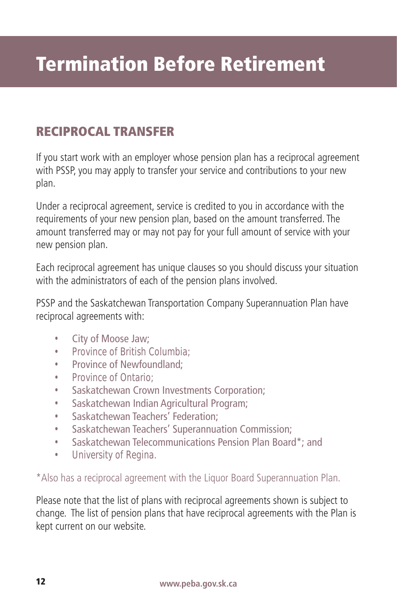### RECIPROCAL TRANSFER

If you start work with an employer whose pension plan has a reciprocal agreement with PSSP, you may apply to transfer your service and contributions to your new plan.

Under a reciprocal agreement, service is credited to you in accordance with the requirements of your new pension plan, based on the amount transferred. The amount transferred may or may not pay for your full amount of service with your new pension plan.

Each reciprocal agreement has unique clauses so you should discuss your situation with the administrators of each of the pension plans involved.

PSSP and the Saskatchewan Transportation Company Superannuation Plan have reciprocal agreements with:

- City of Moose Jaw;
- Province of British Columbia;
- Province of Newfoundland;
- Province of Ontario;
- Saskatchewan Crown Investments Corporation;
- Saskatchewan Indian Agricultural Program;
- Saskatchewan Teachers' Federation:
- Saskatchewan Teachers' Superannuation Commission;
- Saskatchewan Telecommunications Pension Plan Board\*; and
- University of Regina.

\*Also has a reciprocal agreement with the Liquor Board Superannuation Plan.

Please note that the list of plans with reciprocal agreements shown is subject to change. The list of pension plans that have reciprocal agreements with the Plan is kept current on our website.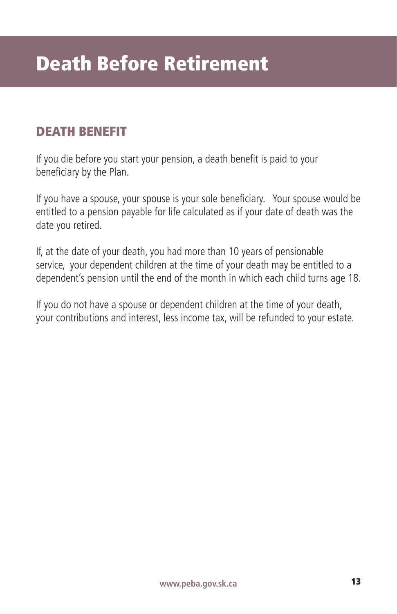## DEATH BENEFIT

If you die before you start your pension, a death benefit is paid to your beneficiary by the Plan.

If you have a spouse, your spouse is your sole beneficiary. Your spouse would be entitled to a pension payable for life calculated as if your date of death was the date you retired.

If, at the date of your death, you had more than 10 years of pensionable service, your dependent children at the time of your death may be entitled to a dependent's pension until the end of the month in which each child turns age 18.

If you do not have a spouse or dependent children at the time of your death, your contributions and interest, less income tax, will be refunded to your estate.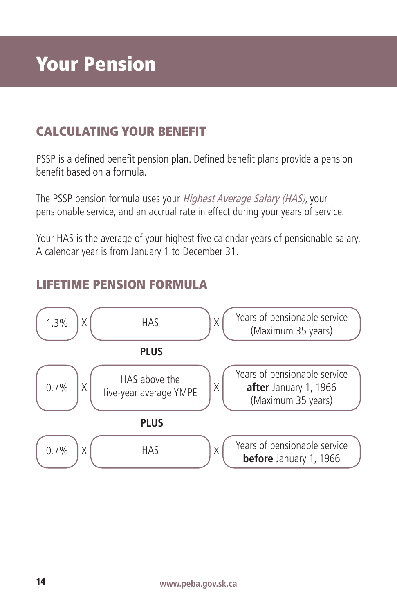## CALCULATING YOUR BENEFIT

PSSP is a defined benefit pension plan. Defined benefit plans provide a pension benefit based on a formula.

The PSSP pension formula uses your Highest Average Salary (HAS), your pensionable service, and an accrual rate in effect during your years of service.

Your HAS is the average of your highest five calendar years of pensionable salary. A calendar year is from January 1 to December 31.



## LIFETIME PENSION FORMULA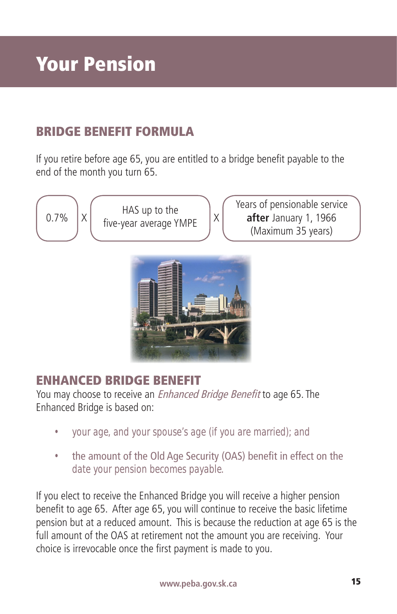## BRIDGE BENEFIT FORMULA

If you retire before age 65, you are entitled to a bridge benefit payable to the end of the month you turn 65.

0.7%  $\begin{vmatrix} x \end{vmatrix}$  HAS up to the  $\begin{vmatrix} x \end{vmatrix}$ 

Years of pensionable service **after** January 1, 1966 (Maximum 35 years)



## ENHANCED BRIDGE BENEFIT

You may choose to receive an *Enhanced Bridge Benefit* to age 65. The Enhanced Bridge is based on:

- your age, and your spouse's age (if you are married); and
- the amount of the Old Age Security (OAS) benefit in effect on the date your pension becomes payable.

If you elect to receive the Enhanced Bridge you will receive a higher pension benefit to age 65. After age 65, you will continue to receive the basic lifetime pension but at a reduced amount. This is because the reduction at age 65 is the full amount of the OAS at retirement not the amount you are receiving. Your choice is irrevocable once the first payment is made to you.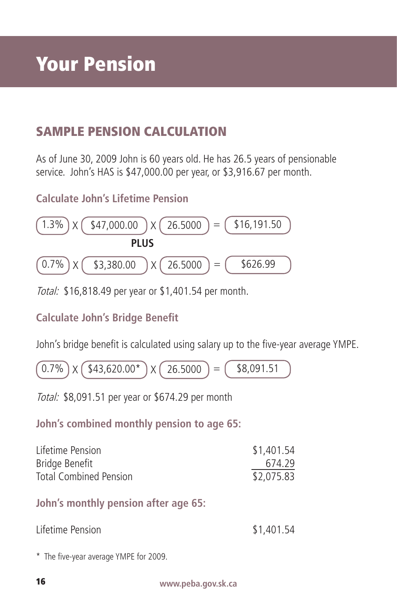## SAMPLE PENSION CALCULATION

As of June 30, 2009 John is 60 years old. He has 26.5 years of pensionable service. John's HAS is \$47,000.00 per year, or \$3,916.67 per month.

**Calculate John's Lifetime Pension**



Total: \$16,818.49 per year or \$1,401.54 per month.

#### **Calculate John's Bridge Benefit**

John's bridge benefit is calculated using salary up to the five-year average YMPE.

 $(0.7\%) \times (43,620.00^*) \times (26.5000) = (48,091.51)$ 

Total: \$8,091.51 per year or \$674.29 per month

**John's combined monthly pension to age 65:**

| Lifetime Pension       | \$1,401.54 |
|------------------------|------------|
| Bridge Benefit         | 674.29     |
| Total Combined Pension | \$2,075.83 |

**John's monthly pension after age 65:**

| Lifetime Pension | \$1,401.54 |
|------------------|------------|
|------------------|------------|

\* The five-year average YMPE for 2009.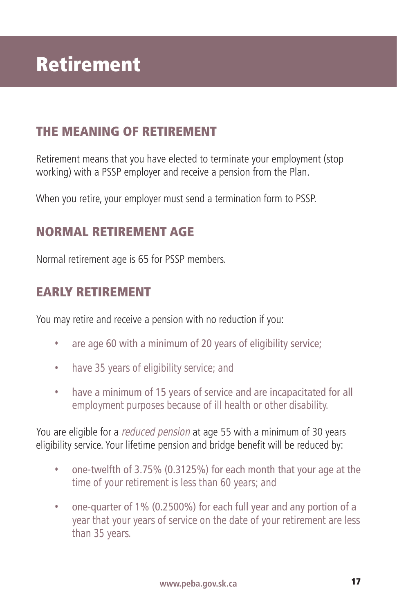## THE MEANING OF RETIREMENT

Retirement means that you have elected to terminate your employment (stop working) with a PSSP employer and receive a pension from the Plan.

When you retire, your employer must send a termination form to PSSP.

#### NORMAL RETIREMENT AGE

Normal retirement age is 65 for PSSP members.

#### EARLY RETIREMENT

You may retire and receive a pension with no reduction if you:

- are age 60 with a minimum of 20 years of eligibility service;
- have 35 years of eligibility service; and
- have a minimum of 15 years of service and are incapacitated for all employment purposes because of ill health or other disability.

You are eligible for a reduced pension at age 55 with a minimum of 30 years eligibility service. Your lifetime pension and bridge benefit will be reduced by:

- one-twelfth of 3.75% (0.3125%) for each month that your age at the time of your retirement is less than 60 years; and
- one-quarter of 1% (0.2500%) for each full year and any portion of a year that your years of service on the date of your retirement are less than 35 years.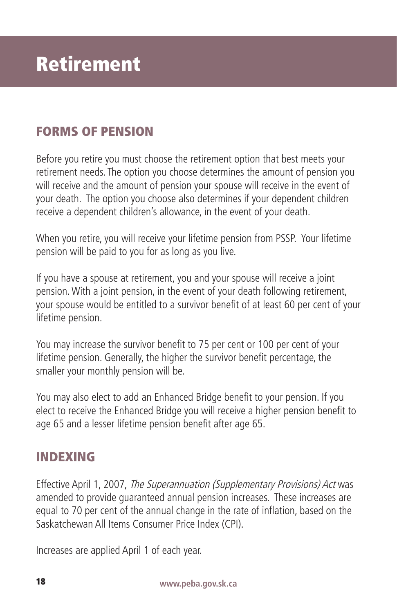## FORMS OF PENSION

Before you retire you must choose the retirement option that best meets your retirement needs. The option you choose determines the amount of pension you will receive and the amount of pension your spouse will receive in the event of your death. The option you choose also determines if your dependent children receive a dependent children's allowance, in the event of your death.

When you retire, you will receive your lifetime pension from PSSP. Your lifetime pension will be paid to you for as long as you live.

If you have a spouse at retirement, you and your spouse will receive a joint pension. With a joint pension, in the event of your death following retirement, your spouse would be entitled to a survivor benefit of at least 60 per cent of your lifetime pension.

You may increase the survivor benefit to 75 per cent or 100 per cent of your lifetime pension. Generally, the higher the survivor benefit percentage, the smaller your monthly pension will be.

You may also elect to add an Enhanced Bridge benefit to your pension. If you elect to receive the Enhanced Bridge you will receive a higher pension benefit to age 65 and a lesser lifetime pension benefit after age 65.

### INDEXING

Effective April 1, 2007, The Superannuation (Supplementary Provisions) Act was amended to provide guaranteed annual pension increases. These increases are equal to 70 per cent of the annual change in the rate of inflation, based on the Saskatchewan All Items Consumer Price Index (CPI).

Increases are applied April 1 of each year.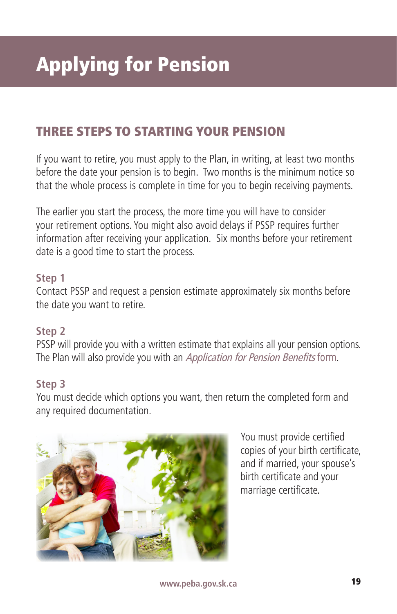## THREE STEPS TO STARTING YOUR PENSION

If you want to retire, you must apply to the Plan, in writing, at least two months before the date your pension is to begin. Two months is the minimum notice so that the whole process is complete in time for you to begin receiving payments.

The earlier you start the process, the more time you will have to consider your retirement options. You might also avoid delays if PSSP requires further information after receiving your application. Six months before your retirement date is a good time to start the process.

#### **Step 1**

Contact PSSP and request a pension estimate approximately six months before the date you want to retire.

#### **Step 2**

PSSP will provide you with a written estimate that explains all your pension options. The Plan will also provide you with an Application for Pension Benefits form.

#### **Step 3**

You must decide which options you want, then return the completed form and any required documentation.



You must provide certified copies of your birth certificate, and if married, your spouse's birth certificate and your marriage certificate.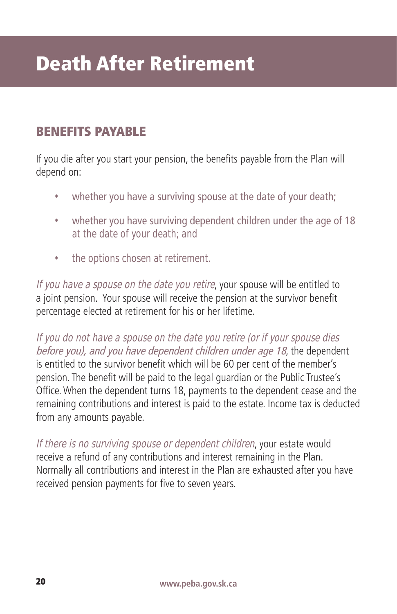## Death After Retirement

### BENEFITS PAYABLE

If you die after you start your pension, the benefits payable from the Plan will depend on:

- whether you have a surviving spouse at the date of your death;
- whether you have surviving dependent children under the age of 18 at the date of your death; and
- the options chosen at retirement.

If you have a spouse on the date you retire, your spouse will be entitled to a joint pension. Your spouse will receive the pension at the survivor benefit percentage elected at retirement for his or her lifetime.

If you do not have a spouse on the date you retire (or if your spouse dies before you), and you have dependent children under age 18, the dependent is entitled to the survivor benefit which will be 60 per cent of the member's pension. The benefit will be paid to the legal guardian or the Public Trustee's Office. When the dependent turns 18, payments to the dependent cease and the remaining contributions and interest is paid to the estate. Income tax is deducted from any amounts payable.

If there is no surviving spouse or dependent children, your estate would receive a refund of any contributions and interest remaining in the Plan. Normally all contributions and interest in the Plan are exhausted after you have received pension payments for five to seven years.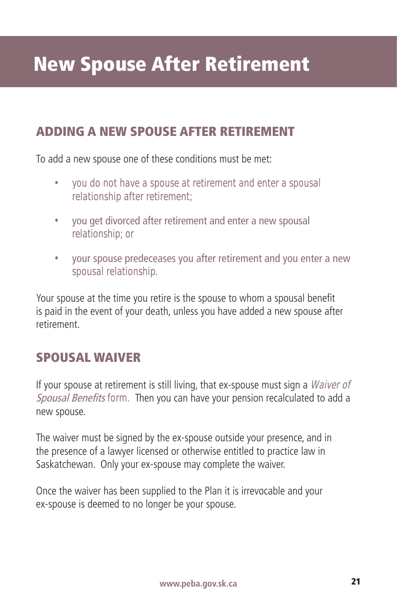## ADDING A NEW SPOUSE AFTER RETIREMENT

To add a new spouse one of these conditions must be met:

- you do not have a spouse at retirement and enter a spousal relationship after retirement;
- you get divorced after retirement and enter a new spousal relationship; or
- your spouse predeceases you after retirement and you enter a new spousal relationship.

Your spouse at the time you retire is the spouse to whom a spousal benefit is paid in the event of your death, unless you have added a new spouse after retirement.

## SPOUSAL WAIVER

If your spouse at retirement is still living, that ex-spouse must sign a *Waiver of* Spousal Benefits form. Then you can have your pension recalculated to add a new spouse.

The waiver must be signed by the ex-spouse outside your presence, and in the presence of a lawyer licensed or otherwise entitled to practice law in Saskatchewan. Only your ex-spouse may complete the waiver.

Once the waiver has been supplied to the Plan it is irrevocable and your ex-spouse is deemed to no longer be your spouse.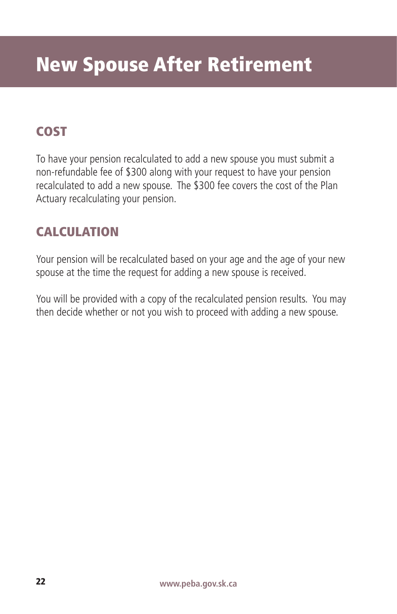## COST

To have your pension recalculated to add a new spouse you must submit a non-refundable fee of \$300 along with your request to have your pension recalculated to add a new spouse. The \$300 fee covers the cost of the Plan Actuary recalculating your pension.

## CALCULATION

Your pension will be recalculated based on your age and the age of your new spouse at the time the request for adding a new spouse is received.

You will be provided with a copy of the recalculated pension results. You may then decide whether or not you wish to proceed with adding a new spouse.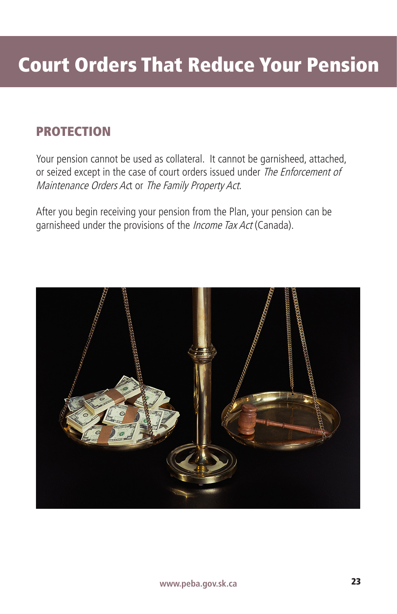## PROTECTION

Your pension cannot be used as collateral. It cannot be garnisheed, attached, or seized except in the case of court orders issued under The Enforcement of Maintenance Orders Act or The Family Property Act.

After you begin receiving your pension from the Plan, your pension can be garnisheed under the provisions of the *Income Tax Act* (Canada).

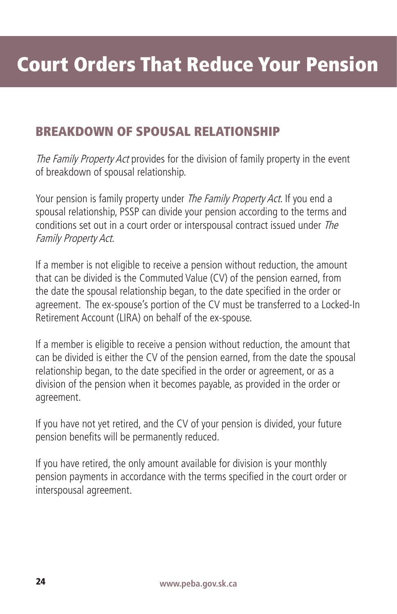### BREAKDOWN OF SPOUSAL RELATIONSHIP

The Family Property Act provides for the division of family property in the event of breakdown of spousal relationship.

Your pension is family property under The Family Property Act. If you end a spousal relationship, PSSP can divide your pension according to the terms and conditions set out in a court order or interspousal contract issued under The Family Property Act.

If a member is not eligible to receive a pension without reduction, the amount that can be divided is the Commuted Value (CV) of the pension earned, from the date the spousal relationship began, to the date specified in the order or agreement. The ex-spouse's portion of the CV must be transferred to a Locked-In Retirement Account (LIRA) on behalf of the ex-spouse.

If a member is eligible to receive a pension without reduction, the amount that can be divided is either the CV of the pension earned, from the date the spousal relationship began, to the date specified in the order or agreement, or as a division of the pension when it becomes payable, as provided in the order or agreement.

If you have not yet retired, and the CV of your pension is divided, your future pension benefits will be permanently reduced.

If you have retired, the only amount available for division is your monthly pension payments in accordance with the terms specified in the court order or interspousal agreement.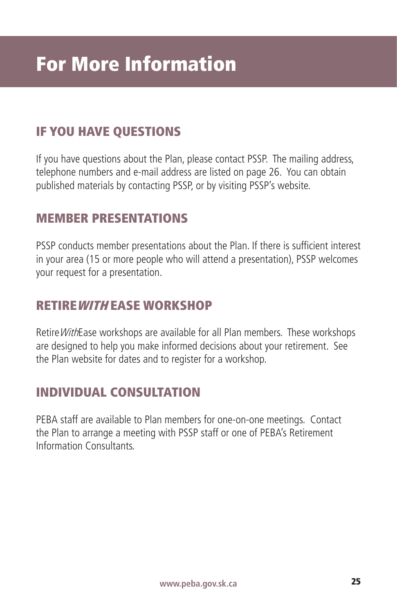## IF YOU HAVE QUESTIONS

If you have questions about the Plan, please contact PSSP. The mailing address, telephone numbers and e-mail address are listed on page 26. You can obtain published materials by contacting PSSP, or by visiting PSSP's website.

#### MEMBER PRESENTATIONS

PSSP conducts member presentations about the Plan. If there is sufficient interest in your area (15 or more people who will attend a presentation), PSSP welcomes your request for a presentation.

#### RETIREWIT<sup>H</sup> EASE WORKSHOP

RetireWithEase workshops are available for all Plan members. These workshops are designed to help you make informed decisions about your retirement. See the Plan website for dates and to register for a workshop.

### INDIVIDUAL CONSULTATION

PEBA staff are available to Plan members for one-on-one meetings. Contact the Plan to arrange a meeting with PSSP staff or one of PEBA's Retirement Information Consultants.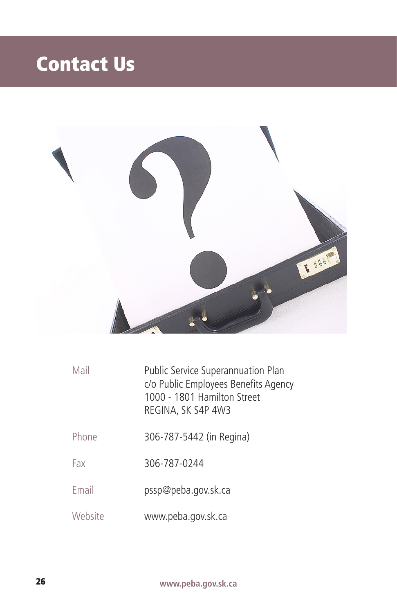# Contact Us



| Mail    | Public Service Superannuation Plan<br>c/o Public Employees Benefits Agency<br>1000 - 1801 Hamilton Street<br>REGINA, SK S4P 4W3 |
|---------|---------------------------------------------------------------------------------------------------------------------------------|
| Phone   | 306-787-5442 (in Regina)                                                                                                        |
| Fax     | 306-787-0244                                                                                                                    |
| Fmail   | pssp@peba.gov.sk.ca                                                                                                             |
| Website | www.peba.gov.sk.ca                                                                                                              |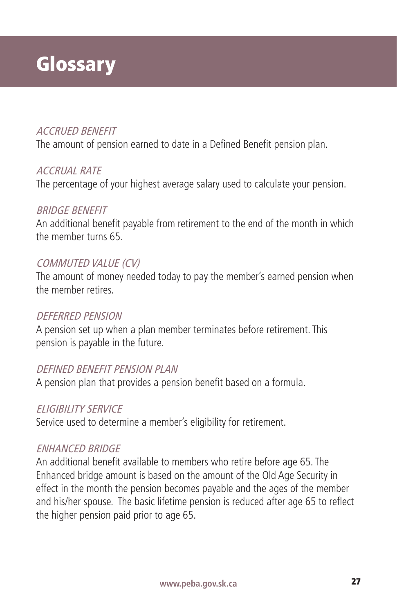## **Glossary**

#### ACCRUED BENEFIT

The amount of pension earned to date in a Defined Benefit pension plan.

#### ACCRUAL RATE

The percentage of your highest average salary used to calculate your pension.

#### BRIDGE BENEFIT

An additional benefit payable from retirement to the end of the month in which the member turns 65.

#### COMMUTED VALUE (CV)

The amount of money needed today to pay the member's earned pension when the member retires.

#### DEFERRED PENSION

A pension set up when a plan member terminates before retirement. This pension is payable in the future.

#### DEFINED BENEFIT PENSION PLAN

A pension plan that provides a pension benefit based on a formula.

#### ELIGIBILITY SERVICE

Service used to determine a member's eligibility for retirement.

#### ENHANCED BRIDGE

An additional benefit available to members who retire before age 65. The Enhanced bridge amount is based on the amount of the Old Age Security in effect in the month the pension becomes payable and the ages of the member and his/her spouse. The basic lifetime pension is reduced after age 65 to reflect the higher pension paid prior to age 65.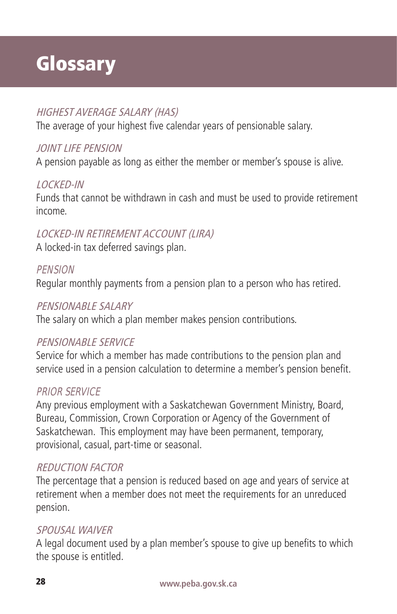# **Glossary**

#### HIGHEST AVERAGE SALARY (HAS)

The average of your highest five calendar years of pensionable salary.

#### JOINT LIFE PENSION

A pension payable as long as either the member or member's spouse is alive.

#### LOCKED-IN

Funds that cannot be withdrawn in cash and must be used to provide retirement income.

#### LOCKED-IN RETIREMENT ACCOUNT (LIRA)

A locked-in tax deferred savings plan.

#### **PFNSION**

Regular monthly payments from a pension plan to a person who has retired.

#### PENSIONABLE SALARY

The salary on which a plan member makes pension contributions.

#### PENSIONABLE SERVICE

Service for which a member has made contributions to the pension plan and service used in a pension calculation to determine a member's pension benefit.

#### PRIOR SERVICE

Any previous employment with a Saskatchewan Government Ministry, Board, Bureau, Commission, Crown Corporation or Agency of the Government of Saskatchewan. This employment may have been permanent, temporary, provisional, casual, part-time or seasonal.

#### REDUCTION FACTOR

The percentage that a pension is reduced based on age and years of service at retirement when a member does not meet the requirements for an unreduced pension.

#### SPOUSAL WAIVER

A legal document used by a plan member's spouse to give up benefits to which the spouse is entitled.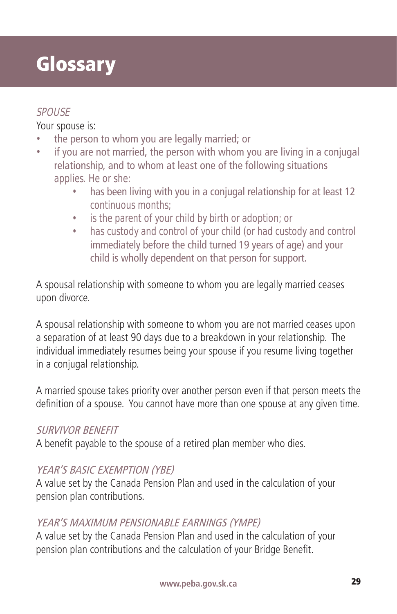## **Glossary**

#### SPOUSE

Your spouse is:

- the person to whom you are legally married; or
- if you are not married, the person with whom you are living in a conjugal relationship, and to whom at least one of the following situations applies. He or she:
	- has been living with you in a conjugal relationship for at least 12 continuous months;
	- is the parent of your child by birth or adoption; or
	- has custody and control of your child (or had custody and control immediately before the child turned 19 years of age) and your child is wholly dependent on that person for support.

A spousal relationship with someone to whom you are legally married ceases upon divorce.

A spousal relationship with someone to whom you are not married ceases upon a separation of at least 90 days due to a breakdown in your relationship. The individual immediately resumes being your spouse if you resume living together in a conjugal relationship.

A married spouse takes priority over another person even if that person meets the definition of a spouse. You cannot have more than one spouse at any given time.

#### SURVIVOR BENEFIT

A benefit payable to the spouse of a retired plan member who dies.

#### YEAR'S BASIC EXEMPTION (YBE)

A value set by the Canada Pension Plan and used in the calculation of your pension plan contributions.

#### YEAR'S MAXIMUM PENSIONABLE EARNINGS (YMPE)

A value set by the Canada Pension Plan and used in the calculation of your pension plan contributions and the calculation of your Bridge Benefit.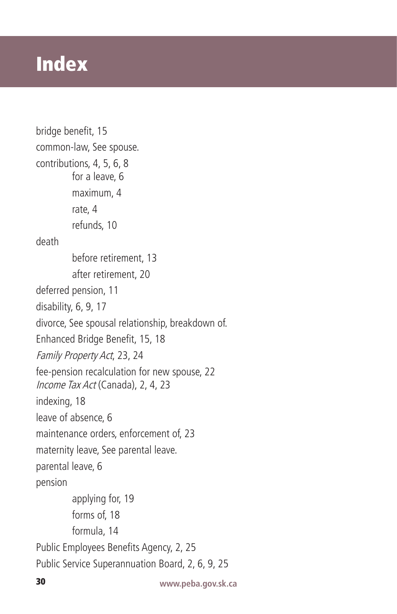## Index

```
bridge benefit, 15
common-law, See spouse.
contributions, 4, 5, 6, 8
         for a leave, 6
         maximum, 4
         rate, 4
         refunds, 10
death 
         before retirement, 13
         after retirement, 20
deferred pension, 11
disability, 6, 9, 17
divorce, See spousal relationship, breakdown of.
Enhanced Bridge Benefit, 15, 18
Family Property Act, 23, 24
fee-pension recalculation for new spouse, 22
Income Tax Act (Canada), 2, 4, 23
indexing, 18
leave of absence, 6
maintenance orders, enforcement of, 23
maternity leave, See parental leave.
parental leave, 6
pension 
         applying for, 19
         forms of, 18
         formula, 14
Public Employees Benefits Agency, 2, 25
Public Service Superannuation Board, 2, 6, 9, 25
```